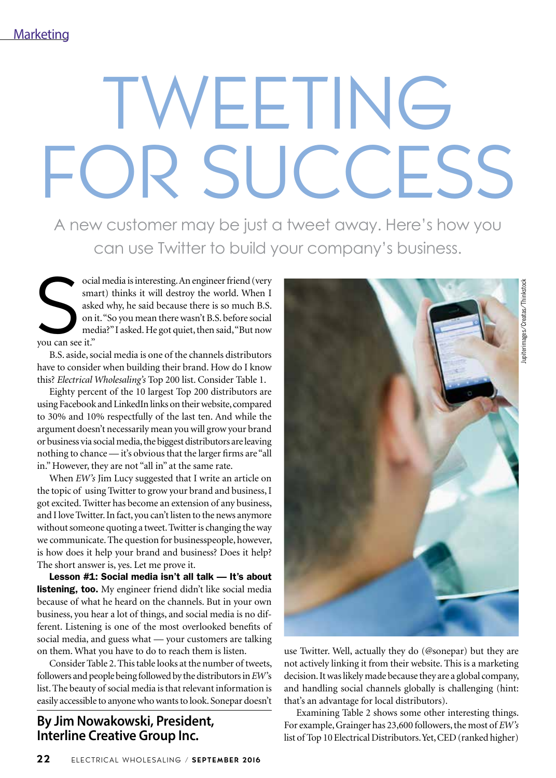# WEETING FOR SUCCESS

A new customer may be just a tweet away. Here's how you can use Twitter to build your company's business.

Social Social Social Social Social Social Social Social Social Social Social Social Social Social Social Social Social Social Social Social Social Social Social Social Social Social Social Social Social Social Social Socia ocial media is interesting. An engineer friend (very smart) thinks it will destroy the world. When I asked why, he said because there is so much B.S. on it. "So you mean there wasn't B.S. before social media?" I asked. He got quiet, then said, "But now

B.S. aside, social media is one of the channels distributors have to consider when building their brand. How do I know this? *Electrical Wholesaling's* Top 200 list. Consider Table 1.

Eighty percent of the 10 largest Top 200 distributors are using Facebook and LinkedIn links on their website, compared to 30% and 10% respectfully of the last ten. And while the argument doesn't necessarily mean you will grow your brand or business via social media, the biggest distributors are leaving nothing to chance — it's obvious that the larger firms are "all in." However, they are not "all in" at the same rate.

When *EW's* Jim Lucy suggested that I write an article on the topic of using Twitter to grow your brand and business, I got excited. Twitter has become an extension of any business, and I love Twitter. In fact, you can't listen to the news anymore without someone quoting a tweet. Twitter is changing the way we communicate. The question for businesspeople, however, is how does it help your brand and business? Does it help? The short answer is, yes. Let me prove it.

Lesson #1: Social media isn't all talk — It's about listening, too. My engineer friend didn't like social media because of what he heard on the channels. But in your own business, you hear a lot of things, and social media is no different. Listening is one of the most overlooked benefits of social media, and guess what — your customers are talking on them. What you have to do to reach them is listen.

Consider Table 2. This table looks at the number of tweets, followers and people being followed by the distributors in *EW'*s list. The beauty of social media is that relevant information is easily accessible to anyone who wants to look. Sonepar doesn't

**By Jim Nowakowski, President, Interline Creative Group Inc.**



use Twitter. Well, actually they do (@sonepar) but they are not actively linking it from their website. This is a marketing decision. It was likely made because they are a global company, and handling social channels globally is challenging (hint: that's an advantage for local distributors).

Examining Table 2 shows some other interesting things. For example, Grainger has 23,600 followers, the most of *EW's*  list of Top 10 Electrical Distributors. Yet, CED (ranked higher)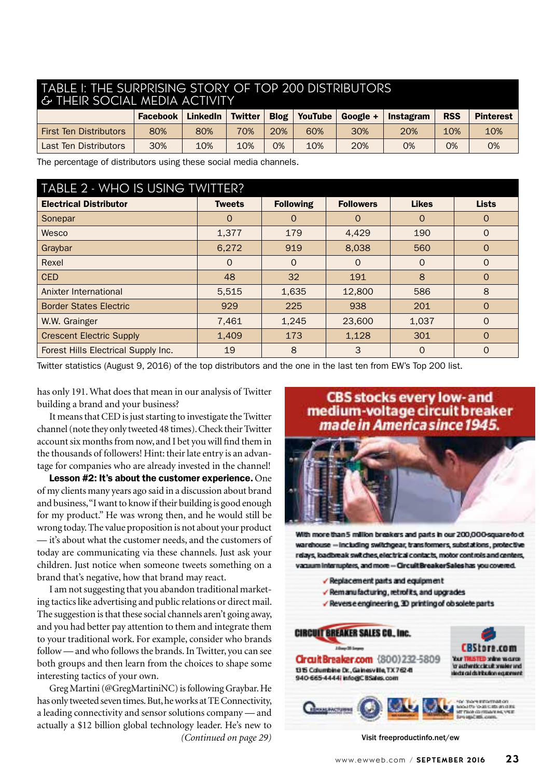#### TABLE 1: THE SURPRISING STORY OF TOP 200 DISTRIBUTORS & THEIR SOCIAL MEDIA ACTIVITY

|                               | <b>Facebook</b> | <b>LinkedIn</b> | <b>Twitter</b> | <b>Blog</b> | YouTube | $Gooele +$ | Instagram | <b>RSS</b> | <b>Pinterest</b> |
|-------------------------------|-----------------|-----------------|----------------|-------------|---------|------------|-----------|------------|------------------|
| <b>First Ten Distributors</b> | 80%             | 80%             | 70%            | 20%         | 60%     | 30%        | 20%       | 10%        | 10%              |
| Last Ten Distributors         | 30%             | 10%             | 10%            | 0%          | 10%     | 20%        | 0%        | 0%         | 0%               |

The percentage of distributors using these social media channels.

### TABLE 2 - WHO IS HEING TWITTER?

| <b>INDLE Z FINITO IS USITO TIMILILINE</b> |               |                  |                  |              |              |  |  |  |  |
|-------------------------------------------|---------------|------------------|------------------|--------------|--------------|--|--|--|--|
| <b>Electrical Distributor</b>             | <b>Tweets</b> | <b>Following</b> | <b>Followers</b> | <b>Likes</b> | <b>Lists</b> |  |  |  |  |
| Sonepar                                   | $\Omega$      | $\Omega$         | $\Omega$         | $\Omega$     | $\Omega$     |  |  |  |  |
| Wesco                                     | 1,377         | 179              | 4,429            | 190          | $\mathbf{O}$ |  |  |  |  |
| Graybar                                   | 6,272         | 919              | 8,038            | 560          | $\Omega$     |  |  |  |  |
| Rexel                                     | $\Omega$      | $\Omega$         | $\Omega$         | $\Omega$     | $\Omega$     |  |  |  |  |
| <b>CED</b>                                | 48            | 32               | 191              | 8            | $\Omega$     |  |  |  |  |
| Anixter International                     | 5,515         | 1,635            | 12,800           | 586          | 8            |  |  |  |  |
| <b>Border States Electric</b>             | 929           | 225              | 938              | 201          | $\Omega$     |  |  |  |  |
| W.W. Grainger                             | 7,461         | 1,245            | 23,600           | 1,037        | $\Omega$     |  |  |  |  |
| <b>Crescent Electric Supply</b>           | 1,409         | 173              | 1,128            | 301          | $\Omega$     |  |  |  |  |
| Forest Hills Electrical Supply Inc.       | 19            | 8                | 3                | $\Omega$     | $\Omega$     |  |  |  |  |

Twitter statistics (August 9, 2016) of the top distributors and the one in the last ten from EW's Top 200 list.

has only 191. What does that mean in our analysis of Twitter building a brand and your business?

It means that CED is just starting to investigate the Twitter channel (note they only tweeted 48 times). Check their Twitter account six months from now, and I bet you will find them in the thousands of followers! Hint: their late entry is an advantage for companies who are already invested in the channel!

Lesson #2: It's about the customer experience. One of my clients many years ago said in a discussion about brand and business, "I want to know if their building is good enough for my product." He was wrong then, and he would still be wrong today. The value proposition is not about your product — it's about what the customer needs, and the customers of today are communicating via these channels. Just ask your children. Just notice when someone tweets something on a brand that's negative, how that brand may react.

I am not suggesting that you abandon traditional marketing tactics like advertising and public relations or direct mail. The suggestion is that these social channels aren't going away, and you had better pay attention to them and integrate them to your traditional work. For example, consider who brands follow — and who follows the brands. In Twitter, you can see both groups and then learn from the choices to shape some interesting tactics of your own.

Greg Martini (@GregMartiniNC) is following Graybar. He has only tweeted seven times. But, he works at TE Connectivity, a leading connectivity and sensor solutions company — and actually a \$12 billion global technology leader. He's new to *(Continued on page 29)* Visit freeproductinfo.net/ew

### **CBS stocks every low- and** medium-voltage circuit breaker made in America since 1945.



With more than 5 million breakers and parts in our 200,000-square-foct warehouse - including switchgear, transformers, substations, protective relays, loadbreak switches, electrical contacts, motor controls and centers, vacuum interrupters, and more - Circuit BreakerSaleshas you covered.

- Beplacement parts and equipment
- Bemanufacturing, retrofits, and upgrades
- √ Reverse engineering, 3D printing of obsolete parts